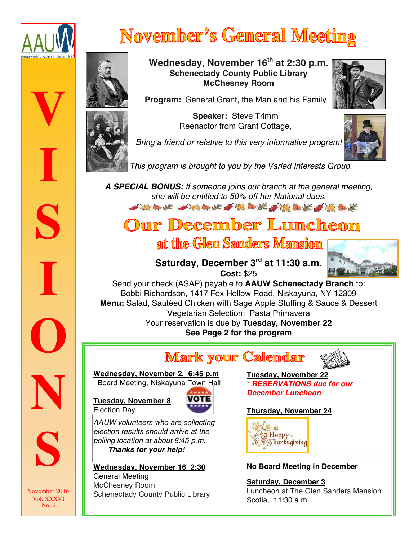

**V**

**I**

**S**

**I**

**O**

**N**

# **November's General Meeting**



**Wednesday, November 16th at 2:30 p.m. Schenectady County Public Library McChesney Room**



**Program:** General Grant, the Man and his Family

**Speaker:** Steve Trimm Reenactor from Grant Cottage,

*Bring a friend or relative to this very informative program!* 



 *This program is brought to you by the Varied Interests Group.*

*A SPECIAL BONUS: If someone joins our branch at the general meeting,*  **she will be entitled to 50% off her National dues.** 

Our December Luncheon

at the Glen Sanders Mansion



**Saturday, December 3rd at 11:30 a.m. Cost:** \$25

Send your check (ASAP) payable to **AAUW Schenectady Branch** to: Bobbi Richardson, 1417 Fox Hollow Road, Niskayuna, NY 12309 **Menu:** Salad, Sautéed Chicken with Sage Apple Stuffing & Sauce & Dessert Vegetarian Selection: Pasta Primavera Your reservation is due by **Tuesday, November 22 See Page 2 for the program**

### **Mark your Calendar**



**Wednesday, November 2, 6:45 p.m** Board Meeting, Niskayuna Town Hall

**Tuesday, November 8** Election Day



*AAUW volunteers who are collecting election results should arrive at the polling location at about 8:45 p.m. Thanks for your help!*

**Wednesday, November 16 2:30** General Meeting McChesney Room Schenectady County Public Library **Tuesday, November 22** *\* RESERVATIONS due for our December Luncheon*

### **Thursday, November 24**



**No Board Meeting in December**

**Saturday, December 3** Luncheon at The Glen Sanders Mansion Scotia, 11:30 a.m.



*T*

November 2016 Vol. XXXVI No. 3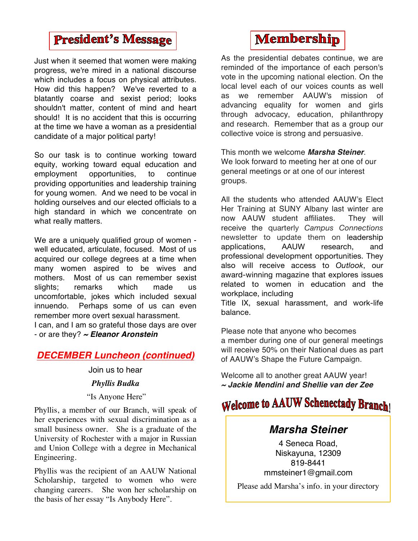### **President's Message**

Just when it seemed that women were making progress, we're mired in a national discourse which includes a focus on physical attributes. How did this happen? We've reverted to a blatantly coarse and sexist period; looks shouldn't matter, content of mind and heart should! It is no accident that this is occurring at the time we have a woman as a presidential candidate of a major political party!

So our task is to continue working toward equity, working toward equal education and employment opportunities, to continue providing opportunities and leadership training for young women. And we need to be vocal in holding ourselves and our elected officials to a high standard in which we concentrate on what really matters.

We are a uniquely qualified group of women well educated, articulate, focused. Most of us acquired our college degrees at a time when many women aspired to be wives and mothers. Most of us can remember sexist slights; remarks which made us uncomfortable, jokes which included sexual innuendo. Perhaps some of us can even remember more overt sexual harassment.

I can, and I am so grateful those days are over - or are they? *~ Eleanor Aronstein*

### *DECEMBER Luncheon (continued)*

Join us to hear *Phyllis Budka* "Is Anyone Here"

Phyllis, a member of our Branch, will speak of her experiences with sexual discrimination as a small business owner. She is a graduate of the University of Rochester with a major in Russian and Union College with a degree in Mechanical Engineering.

Phyllis was the recipient of an AAUW National Scholarship, targeted to women who were changing careers. She won her scholarship on the basis of her essay "Is Anybody Here".

### **Membership**

As the presidential debates continue, we are reminded of the importance of each person's vote in the upcoming national election. On the local level each of our voices counts as well as we remember AAUW's mission of advancing equality for women and girls through advocacy, education, philanthropy and research. Remember that as a group our collective voice is strong and persuasive.

This month we welcome *Marsha Steiner*. We look forward to meeting her at one of our general meetings or at one of our interest groups.

All the students who attended AAUW's Elect Her Training at SUNY Albany last winter are now AAUW student affiliates. They will receive the quarterly *Campus Connections* newsletter to update them on leadership applications, AAUW research, and professional development opportunities. They also will receive access to *Outlook*, our award-winning magazine that explores issues related to women in education and the workplace, including

Title IX, sexual harassment, and work-life balance.

Please note that anyone who becomes a member during one of our general meetings will receive 50% on their National dues as part of AAUW's Shape the Future Campaign.

Welcome all to another great AAUW year! *~ Jackie Mendini and Shellie van der Zee*

### **Welcome to AAUW Schenectady Branch!**

#### *Marsha Steiner*

4 Seneca Road, Niskayuna, 12309 819-8441 mmsteiner1@gmail.com

Please add Marsha's info. in your directory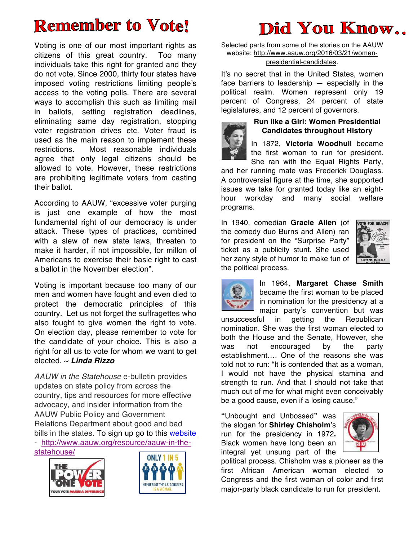# **Remember to Vote!**

Voting is one of our most important rights as citizens of this great country. Too many individuals take this right for granted and they do not vote. Since 2000, thirty four states have imposed voting restrictions limiting people's access to the voting polls. There are several ways to accomplish this such as limiting mail in ballots, setting registration deadlines, eliminating same day registration, stopping voter registration drives etc. Voter fraud is used as the main reason to implement these restrictions. Most reasonable individuals agree that only legal citizens should be allowed to vote. However, these restrictions are prohibiting legitimate voters from casting their ballot.

According to AAUW, "excessive voter purging is just one example of how the most fundamental right of our democracy is under attack. These types of practices, combined with a slew of new state laws, threaten to make it harder, if not impossible, for millon of Americans to exercise their basic right to cast a ballot in the November election".

Voting is important because too many of our men and women have fought and even died to protect the democratic principles of this country. Let us not forget the suffragettes who also fought to give women the right to vote. On election day, please remember to vote for the candidate of your choice. This is also a right for all us to vote for whom we want to get elected. ~ *Linda Rizzo*

*AAUW in the Statehouse* e-bulletin provides updates on state policy from across the country, tips and resources for more effective advocacy, and insider information from the AAUW Public Policy and Government Relations Department about good and bad bills in the states. To sign up go to this website - http://www.aauw.org/resource/aauw-in-thestatehouse/





# Did You Know..

Selected parts from some of the stories on the AAUW website: http://www.aauw.org/2016/03/21/womenpresidential-candidates.

It's no secret that in the United States, women face barriers to leadership — especially in the political realm. Women represent only 19 percent of Congress, 24 percent of state legislatures, and 12 percent of governors.



#### **Run like a Girl: Women Presidential Candidates throughout History**

In 1872, **Victoria Woodhull** became the first woman to run for president. She ran with the Equal Rights Party,

and her running mate was Frederick Douglass. A controversial figure at the time, she supported issues we take for granted today like an eighthour workday and many social welfare programs.

In 1940, comedian **Gracie Allen** (of the comedy duo Burns and Allen) ran for president on the "Surprise Party" ticket as a publicity stunt. She used her zany style of humor to make fun of the political process.





In 1964, **Margaret Chase Smith** became the first woman to be placed in nomination for the presidency at a major party's convention but was

unsuccessful in getting the Republican nomination. She was the first woman elected to both the House and the Senate, However, she was not encouraged by the party establishment…. One of the reasons she was told not to run: "It is contended that as a woman, I would not have the physical stamina and strength to run. And that I should not take that much out of me for what might even conceivably be a good cause, even if a losing cause."

**"**Unbought and Unbossed**"** was the slogan for **Shirley Chisholm**'s run for the presidency in 1972**.**  Black women have long been an integral yet unsung part of the



political process. Chisholm was a pioneer as the first African American woman elected to Congress and the first woman of color and first major-party black candidate to run for president.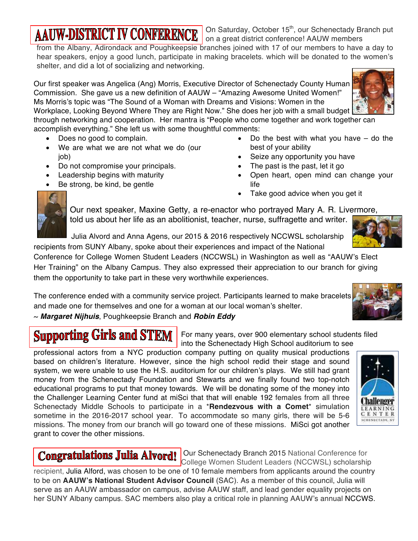## **AAUW-DISTRICT IV CONFERENCE**

On Saturday, October 15<sup>th</sup>, our Schenectady Branch put on a great district conference! AAUW members

from the Albany, Adirondack and Poughkeepsie branches joined with 17 of our members to have a day to hear speakers, enjoy a good lunch, participate in making bracelets. which will be donated to the women's shelter, and did a lot of socializing and networking.

Our first speaker was Angelica (Ang) Morris, Executive Director of Schenectady County Human Commission. She gave us a new definition of AAUW – "Amazing Awesome United Women!" Ms Morris's topic was "The Sound of a Woman with Dreams and Visions: Women in the Workplace, Looking Beyond Where They are Right Now." She does her job with a small budget through networking and cooperation. Her mantra is "People who come together and work together can



- Does no good to complain.
- We are what we are not what we do (our job)
- Do not compromise your principals.
- Leadership begins with maturity
- Be strong, be kind, be gentle
- Do the best with what you have  $-$  do the best of your ability
- Seize any opportunity you have
- The past is the past, let it go
- Open heart, open mind can change your life
- Take good advice when you get it



Our next speaker, Maxine Getty, a re-enactor who portrayed Mary A. R. Livermore, told us about her life as an abolitionist, teacher, nurse, suffragette and writer.

 Julia Alvord and Anna Agens, our 2015 & 2016 respectively NCCWSL scholarship recipients from SUNY Albany, spoke about their experiences and impact of the National

Conference for College Women Student Leaders (NCCWSL) in Washington as well as "AAUW's Elect Her Training" on the Albany Campus. They also expressed their appreciation to our branch for giving them the opportunity to take part in these very worthwhile experiences.

The conference ended with a community service project. Participants learned to make bracelets and made one for themselves and one for a woman at our local woman's shelter.

~ *Margaret Nijhuis*, Poughkeepsie Branch and *Robin Eddy*

# **Supporting Girls and STEM**

For many years, over 900 elementary school students filed into the Schenectady High School auditorium to see

professional actors from a NYC production company putting on quality musical productions based on children's literature. However, since the high school redid their stage and sound system, we were unable to use the H.S. auditorium for our children's plays. We still had grant money from the Schenectady Foundation and Stewarts and we finally found two top-notch educational programs to put that money towards. We will be donating some of the money into the Challenger Learning Center fund at miSci that that will enable 192 females from all three Schenectady Middle Schools to participate in a \***Rendezvous with a Comet**\* simulation sometime in the 2016-2017 school year. To accommodate so many girls, there will be 5-6 missions. The money from our branch will go toward one of these missions. MiSci got another grant to cover the other missions.



Congratulations Julia Alvord! Our Schenectady Branch 2015 National Conference for College Women Student Leaders (NCCWSL) scholarship

recipient, Julia Alford, was chosen to be one of 10 female members from applicants around the country to be on **AAUW's National Student Advisor Council** (SAC). As a member of this council, Julia will serve as an AAUW ambassador on campus, advise AAUW staff, and lead gender equality projects on her SUNY Albany campus. SAC members also play a critical role in planning AAUW's annual NCCWS.

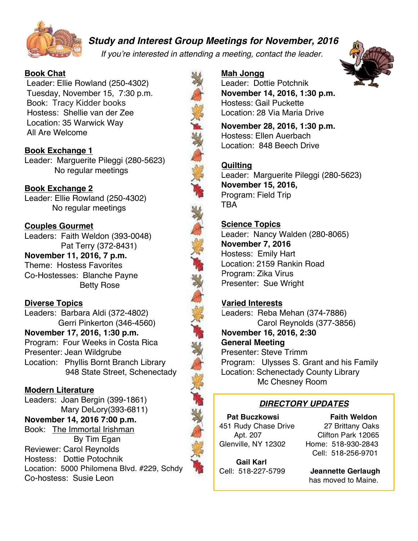

 *Study and Interest Group Meetings for November, 2016*

*If you're interested in attending a meeting, contact the leader.*

#### **Book Chat**

Leader: Ellie Rowland (250-4302) Tuesday, November 15, 7:30 p.m. Book: Tracy Kidder books Hostess: Shellie van der Zee Location: 35 Warwick Way All Are Welcome

#### **Book Exchange 1**

Leader: Marguerite Pileggi (280-5623) No regular meetings

#### **Book Exchange 2**

Leader: Ellie Rowland (250-4302) No regular meetings

#### **Couples Gourmet**

Leaders: Faith Weldon (393-0048) Pat Terry (372-8431)

**November 11, 2016, 7 p.m.** Theme: Hostess Favorites Co-Hostesses: Blanche Payne Betty Rose

#### **Diverse Topics**

Leaders: Barbara Aldi (372-4802) Gerri Pinkerton (346-4560) **November 17, 2016, 1:30 p.m.** Program: Four Weeks in Costa Rica Presenter: Jean Wildgrube Location: Phyllis Bornt Branch Library 948 State Street, Schenectady

#### **Modern Literature**

Leaders: Joan Bergin (399-1861) Mary DeLory(393-6811) **November 14, 2016 7:00 p.m.** Book: The Immortal Irishman By Tim Egan Reviewer: Carol Reynolds Hostess: Dottie Potochnik Location: 5000 Philomena Blvd. #229, Schdy Co-hostess: Susie Leon

#### **Mah Jongg**

Leader: Dottie Potchnik **November 14, 2016, 1:30 p.m.** Hostess: Gail Puckette Location: 28 Via Maria Drive

**November 28, 2016, 1:30 p.m.** Hostess: Ellen Auerbach Location: 848 Beech Drive

#### **Quilting**

Leader: Marguerite Pileggi (280-5623) **November 15, 2016,**  Program: Field Trip TBA

#### **Science Topics**

Leader: Nancy Walden (280-8065) **November 7, 2016** Hostess: Emily Hart Location: 2159 Rankin Road Program: Zika Virus Presenter: Sue Wright

#### **Varied Interests**

Leaders: Reba Mehan (374-7886) Carol Reynolds (377-3856) **November 16, 2016, 2:30 General Meeting** Presenter: Steve Trimm Program: Ulysses S. Grant and his Family Location: Schenectady County Library Mc Chesney Room

### *DIRECTORY UPDATES*

451 Rudy Chase Drive 27 Brittany Oaks Glenville, NY 12302 Home: 518-930-2843

**Pat Buczkowsi** Faith Weldon Apt. 207 Clifton Park 12065 Cell: 518-256-9701

  **Gail Karl**

Cell: 518-227-5799 **Jeannette Gerlaugh** has moved to Maine.